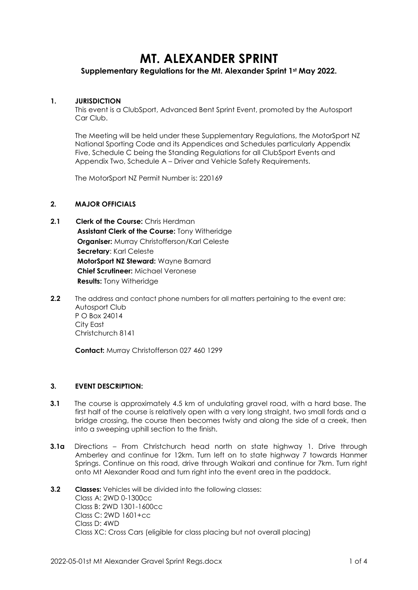# **MT. ALEXANDER SPRINT**

# **Supplementary Regulations for the Mt. Alexander Sprint 1st May 2022.**

# **1. JURISDICTION**

This event is a ClubSport, Advanced Bent Sprint Event, promoted by the Autosport Car Club.

The Meeting will be held under these Supplementary Regulations, the MotorSport NZ National Sporting Code and its Appendices and Schedules particularly Appendix Five, Schedule C being the Standing Regulations for all ClubSport Events and Appendix Two, Schedule A – Driver and Vehicle Safety Requirements.

The MotorSport NZ Permit Number is: 220169

# **2. MAJOR OFFICIALS**

- **2.1 Clerk of the Course:** Chris Herdman **Assistant Clerk of the Course:** Tony Witheridge **Organiser:** Murray Christofferson/Karl Celeste **Secretary**: Karl Celeste **MotorSport NZ Steward:** Wayne Barnard **Chief Scrutineer:** Michael Veronese **Results:** Tony Witheridge
- **2.2** The address and contact phone numbers for all matters pertaining to the event are: Autosport Club P O Box 24014 City East Christchurch 8141

**Contact:** Murray Christofferson 027 460 1299

# **3. EVENT DESCRIPTION:**

- **3.1** The course is approximately 4.5 km of undulating gravel road, with a hard base. The first half of the course is relatively open with a very long straight, two small fords and a bridge crossing, the course then becomes twisty and along the side of a creek, then into a sweeping uphill section to the finish.
- **3.1a** Directions From Christchurch head north on state highway 1. Drive through Amberley and continue for 12km. Turn left on to state highway 7 towards Hanmer Springs. Continue on this road, drive through Waikari and continue for 7km. Turn right onto Mt Alexander Road and turn right into the event area in the paddock.

# **3.2 Classes:** Vehicles will be divided into the following classes: Class A: 2WD 0-1300cc Class B: 2WD 1301-1600cc Class C: 2WD 1601+cc Class D: 4WD Class XC: Cross Cars (eligible for class placing but not overall placing)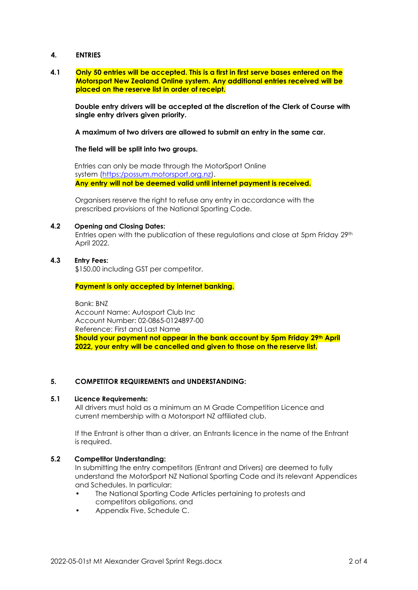# **4. ENTRIES**

#### **4.1 Only 50 entries will be accepted. This is a first in first serve bases entered on the Motorsport New Zealand Online system. Any additional entries received will be placed on the reserve list in order of receipt.**

**Double entry drivers will be accepted at the discretion of the Clerk of Course with single entry drivers given priority.**

**A maximum of two drivers are allowed to submit an entry in the same car.**

#### **The field will be split into two groups.**

Entries can only be made through the MotorSport Online system [\(https:/possum.motorsport.org.nz\).](https://online.motorsport.org.nz/) **Any entry will not be deemed valid until internet payment is received.**

Organisers reserve the right to refuse any entry in accordance with the prescribed provisions of the National Sporting Code.

# **4.2 Opening and Closing Dates:**

Entries open with the publication of these regulations and close at 5pm Friday 29<sup>th</sup> April 2022.

# **4.3 Entry Fees:**

\$150.00 including GST per competitor.

**Payment is only accepted by internet banking.**

Bank: BNZ Account Name: Autosport Club Inc Account Number: 02-0865-0124897-00 Reference: First and Last Name **Should your payment not appear in the bank account by 5pm Friday 29th April 2022, your entry will be cancelled and given to those on the reserve list.**

# **5. COMPETITOR REQUIREMENTS and UNDERSTANDING:**

#### **5.1 Licence Requirements:**

All drivers must hold as a minimum an M Grade Competition Licence and current membership with a Motorsport NZ affiliated club.

If the Entrant is other than a driver, an Entrants licence in the name of the Entrant is required.

# **5.2 Competitor Understanding:**

In submitting the entry competitors (Entrant and Drivers) are deemed to fully understand the MotorSport NZ National Sporting Code and its relevant Appendices and Schedules. In particular:

- The National Sporting Code Articles pertaining to protests and competitors obligations, and
- Appendix Five, Schedule C.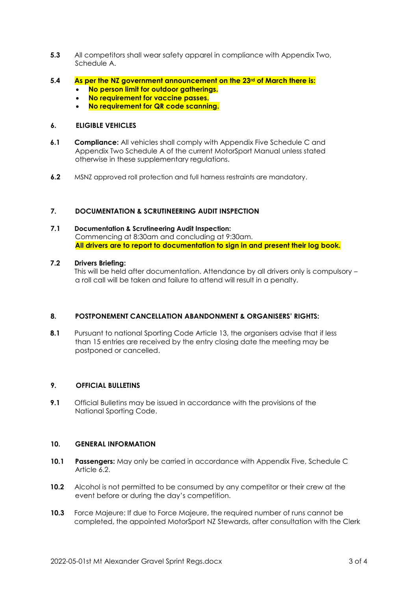- **5.3** All competitors shall wear safety apparel in compliance with Appendix Two, Schedule A.
- **5.4 As per the NZ government announcement on the 23rd of March there is:**
	- **No person limit for outdoor gatherings.**
	- **No requirement for vaccine passes.**
	- **No requirement for QR code scanning.**

# **6. ELIGIBLE VEHICLES**

- **6.1 Compliance:** All vehicles shall comply with Appendix Five Schedule C and Appendix Two Schedule A of the current MotorSport Manual unless stated otherwise in these supplementary regulations.
- **6.2** MSNZ approved roll protection and full harness restraints are mandatory.

# **7. DOCUMENTATION & SCRUTINEERING AUDIT INSPECTION**

# **7.1 Documentation & Scrutineering Audit Inspection:**

Commencing at 8:30am and concluding at 9:30am. **All drivers are to report to documentation to sign in and present their log book.**

# **7.2 Drivers Briefing:**

This will be held after documentation. Attendance by all drivers only is compulsory – a roll call will be taken and failure to attend will result in a penalty.

# **8. POSTPONEMENT CANCELLATION ABANDONMENT & ORGANISERS' RIGHTS:**

**8.1** Pursuant to national Sporting Code Article 13, the organisers advise that if less than 15 entries are received by the entry closing date the meeting may be postponed or cancelled.

# **9. OFFICIAL BULLETINS**

**9.1** Official Bulletins may be issued in accordance with the provisions of the National Sporting Code.

# **10. GENERAL INFORMATION**

- **10.1 Passengers:** May only be carried in accordance with Appendix Five, Schedule C Article 6.2.
- **10.2** Alcohol is not permitted to be consumed by any competitor or their crew at the event before or during the day's competition.
- **10.3** Force Majeure: If due to Force Majeure, the required number of runs cannot be completed, the appointed MotorSport NZ Stewards, after consultation with the Clerk